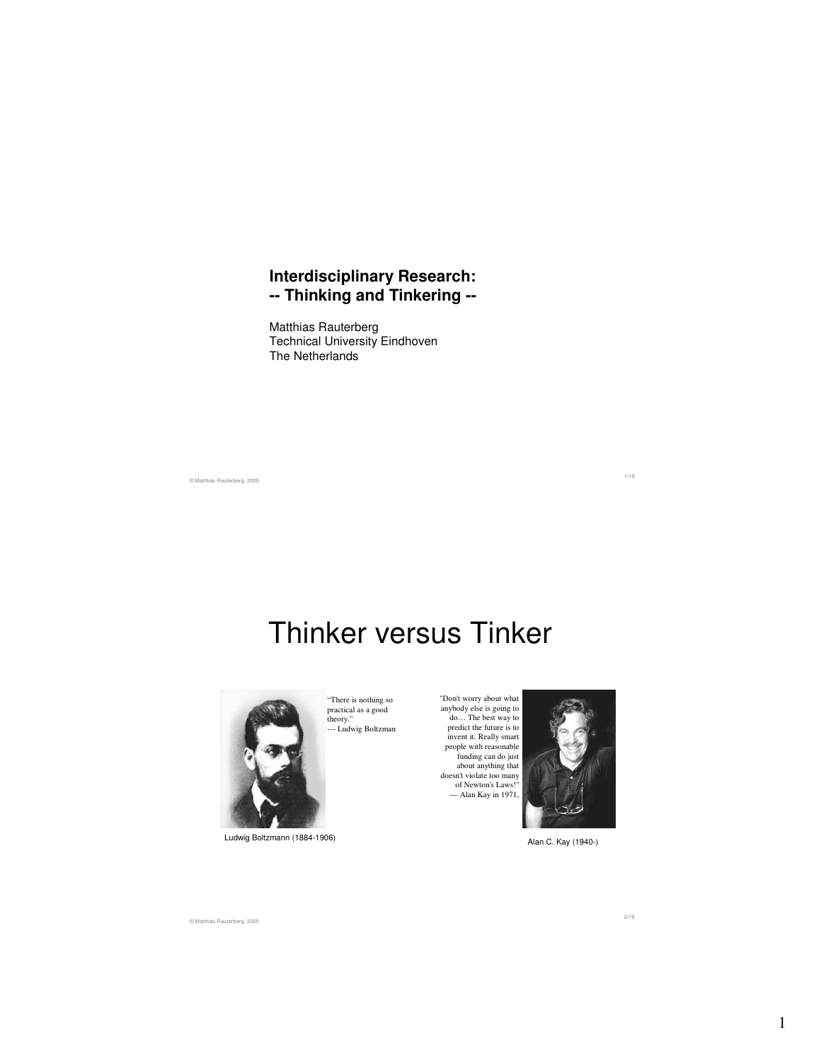### **Interdisciplinary Research: -- Thinking and Tinkering --**

Matthias Rauterberg Technical University Eindhoven The Netherlands

© Matthias Rauterberg, 2005

# Thinker versus Tinker



Ludwig Boltzmann (1884-1906)

"Don't worry about what anybody else is going to do… The best way to predict the future is to invent it. Really smart people with reasonable funding can do just about anything that doesn't violate too many of Newton's Laws!" — Alan Kay in 1971,



Alan C. Kay (1940-)

© Matthias Rauterberg, 2005

2/19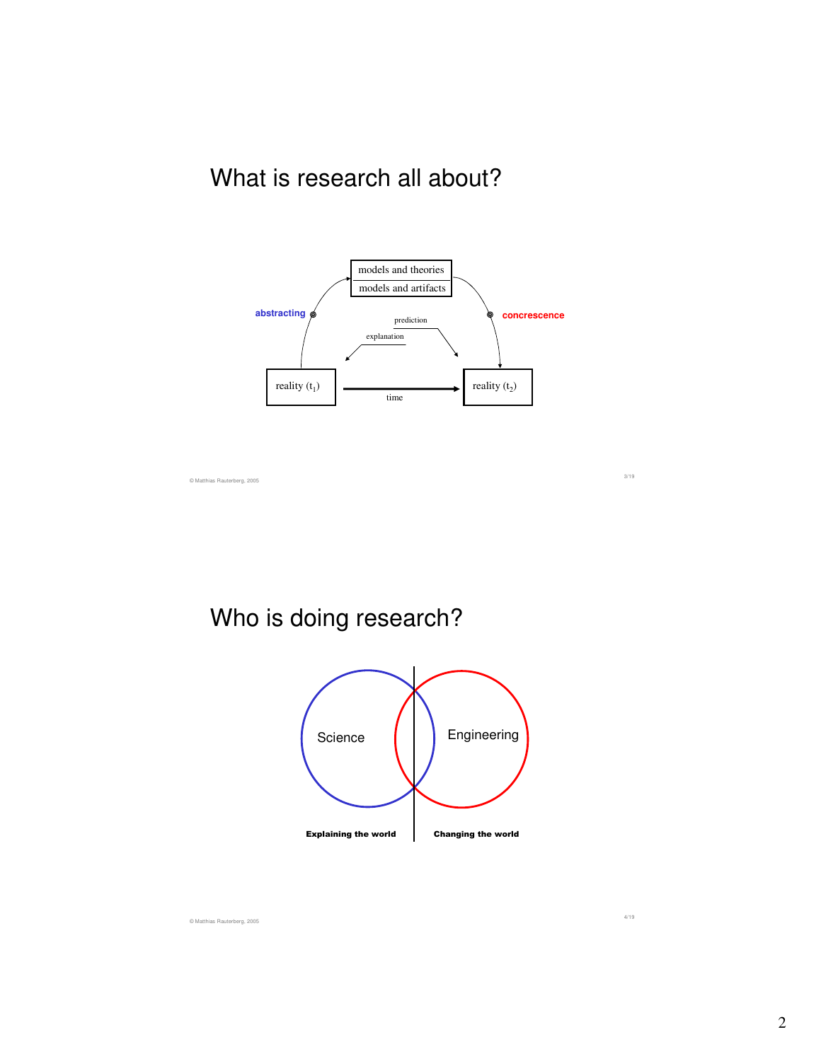## What is research all about?



© Matthias Rauterberg, 2005

Who is doing research?



© Matthias Rauterberg, 2005

4/19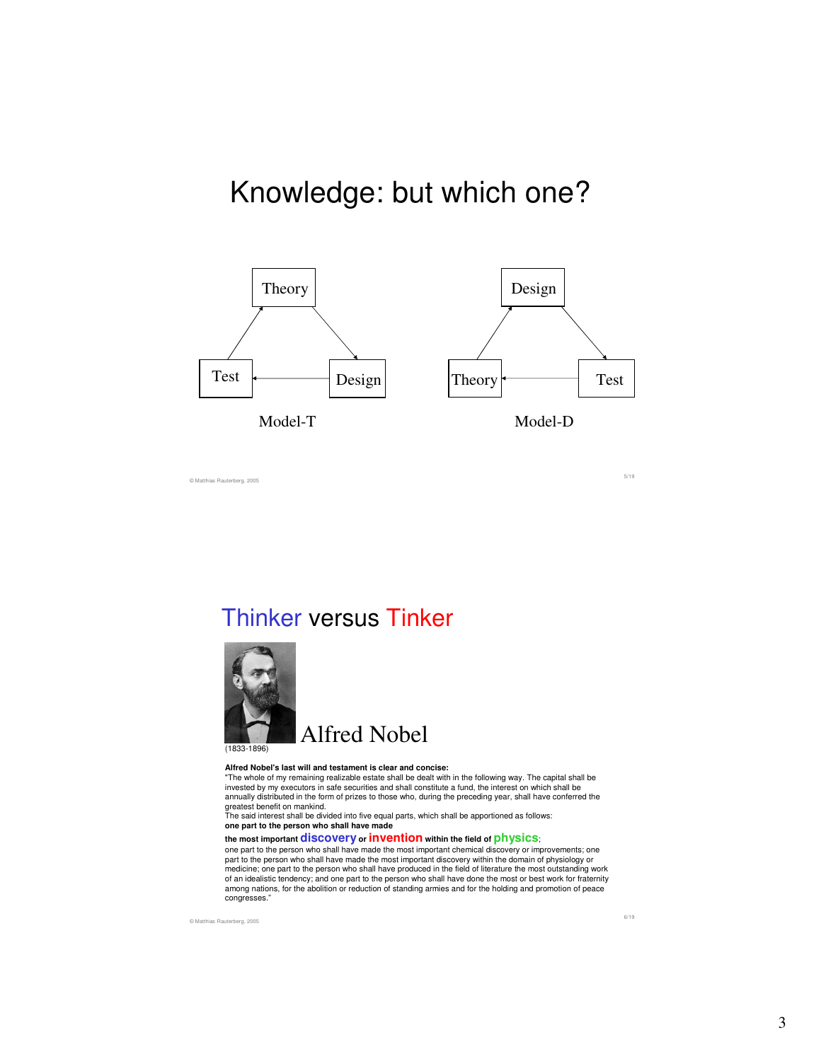# Knowledge: but which one?



© Matthias Rauterberg, 2005

Thinker versus Tinker



## Alfred Nobel

**Alfred Nobel's last will and testament is clear and concise:** "The whole of my remaining realizable estate shall be dealt with in the following way. The capital shall be invested by my executors in safe securities and shall constitute a fund, the interest on which shall be annually distributed in the form of prizes to those who, during the preceding year, shall have conferred the

greatest benefit on mankind. The said interest shall be divided into five equal parts, which shall be apportioned as follows: **one part to the person who shall have made** 

#### **the most important discovery or invention within the field of physics**;

one part to the person who shall have made the most important chemical discovery or improvements; one part to the person who shall have made the most important discovery within the domain of physiology or medicine; one part to the person who shall have produced in the field of literature the most outstanding work of an idealistic tendency; and one part to the person who shall have done the most or best work for fraternity among nations, for the abolition or reduction of standing armies and for the holding and promotion of peace congresses."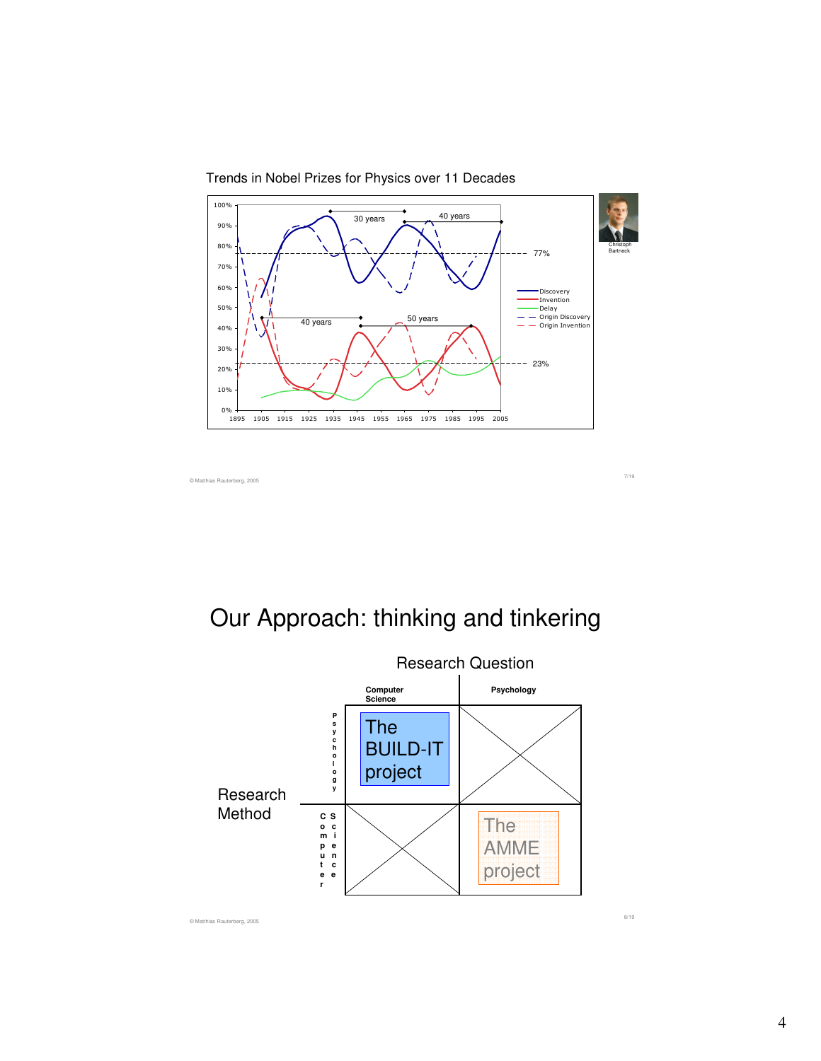

Trends in Nobel Prizes for Physics over 11 Decades

© Matthias Rauterberg, 2005

Our Approach: thinking and tinkering



8/19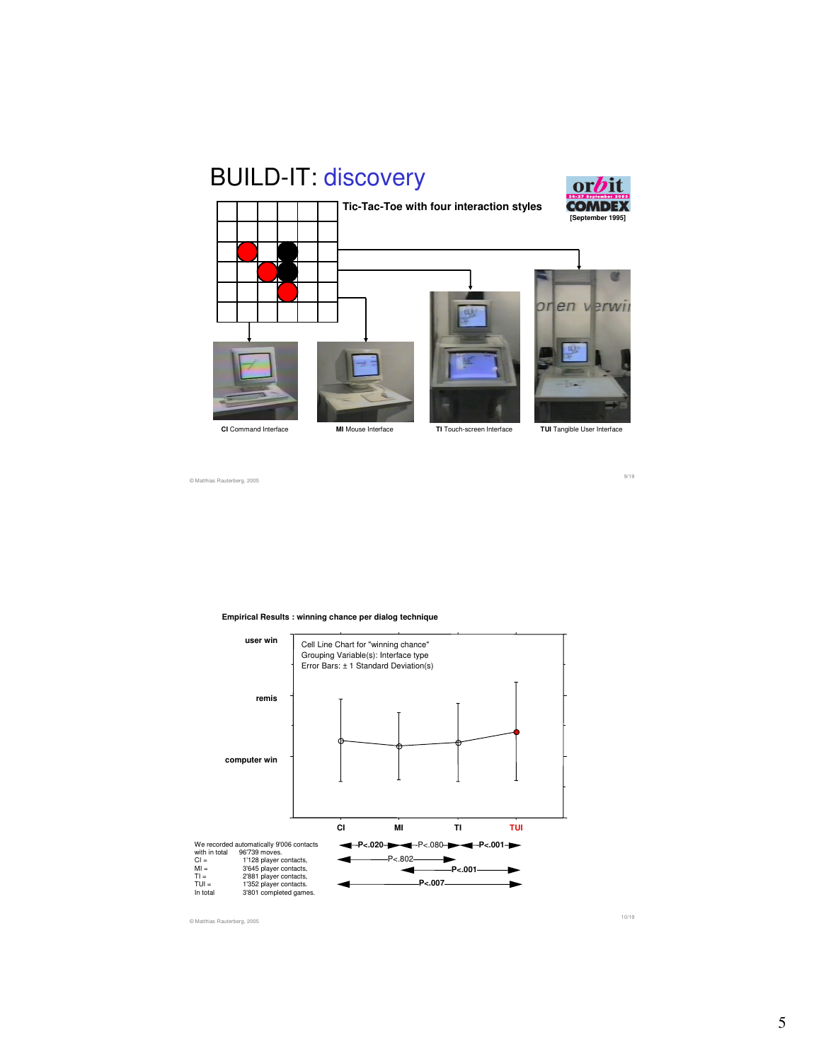

© Matthias Rauterberg, 2005

**Empirical Results : winning chance per dialog technique**



© Matthias Rauterberg, 2005

10/19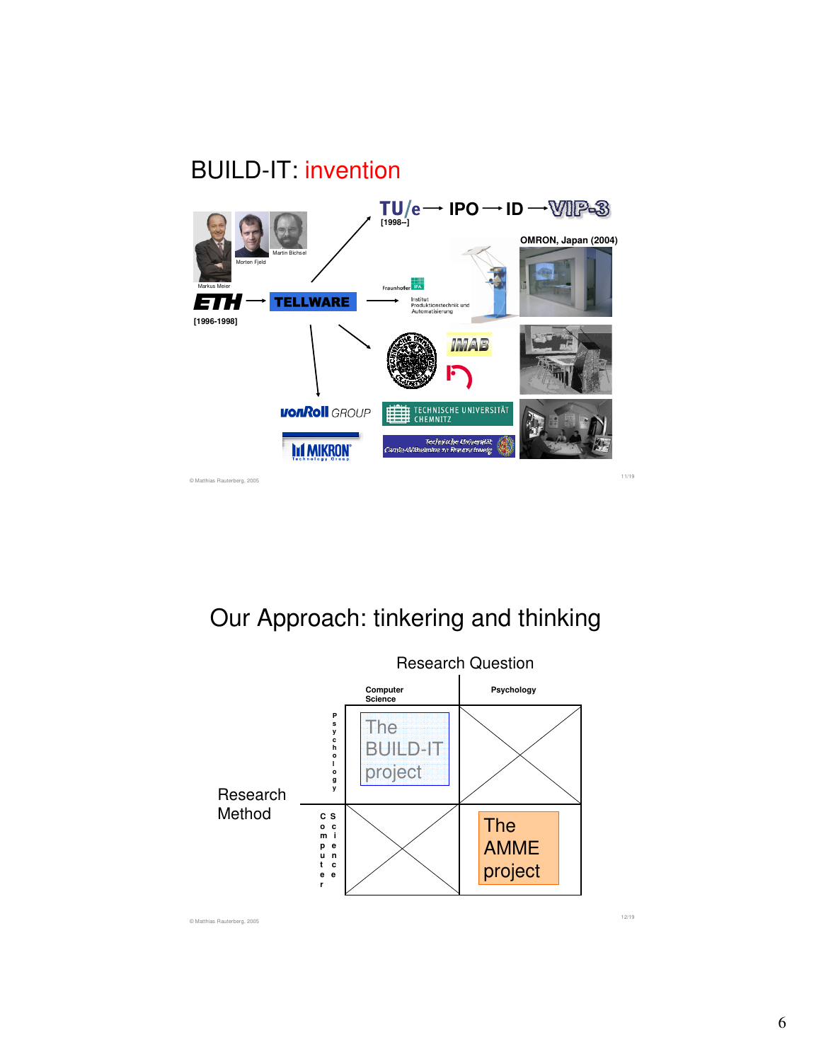## BUILD-IT: invention



Our Approach: tinkering and thinking

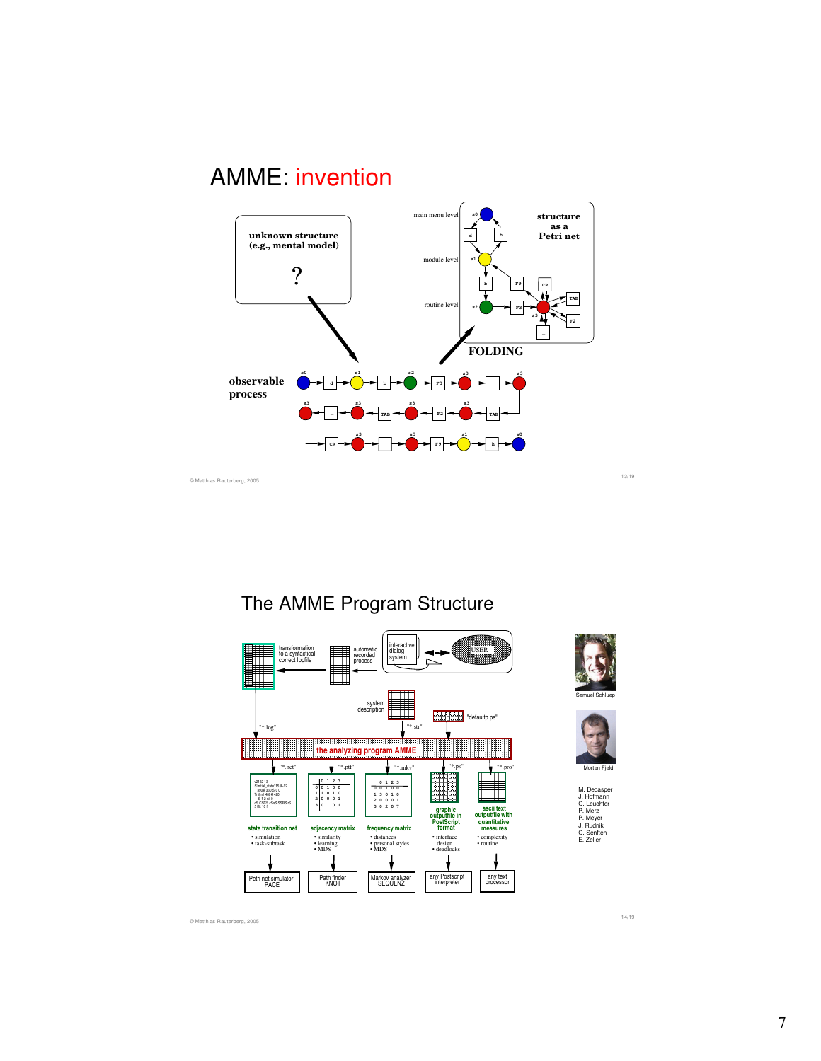



© Matthias Rauterberg, 2005

The AMME Program Structure





13/19



M. Decasp J. Hofmann C. Leuchter P. Merz P. Meyer J. Rudnik C. Senften E. Zeller

© Matthias Rauterberg, 2005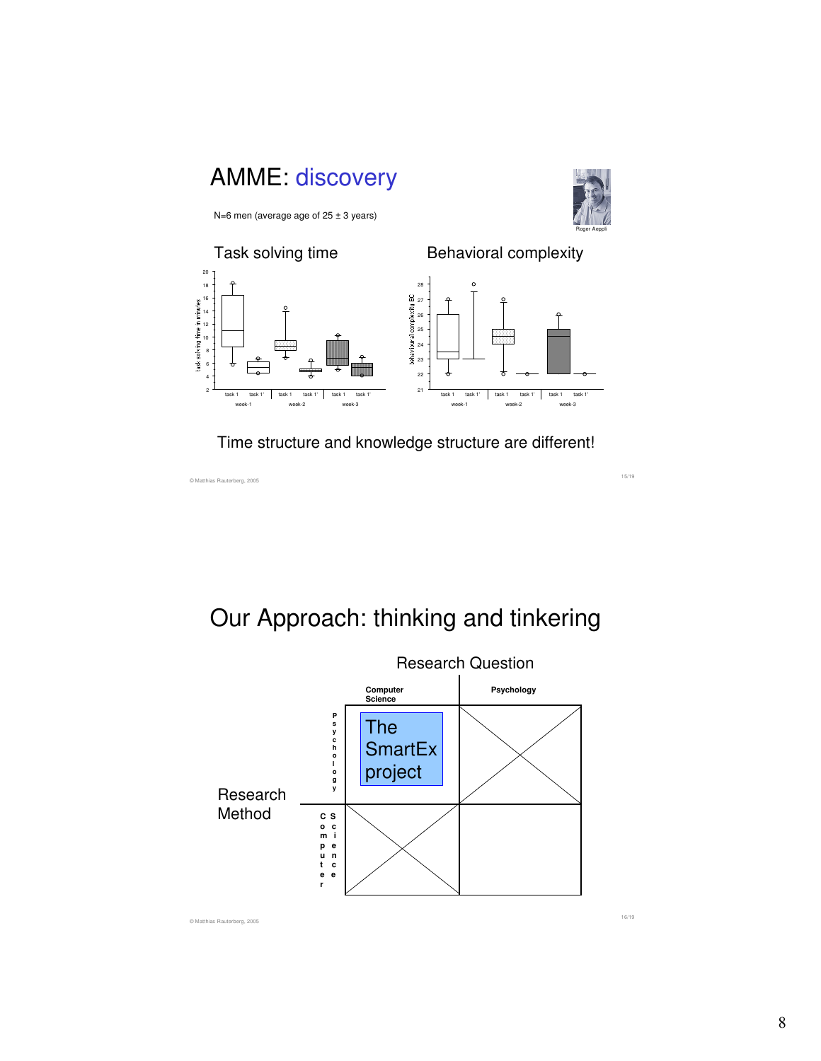

### Time structure and knowledge structure are different!

© Matthias Rauterberg, 2005

Our Approach: thinking and tinkering



16/19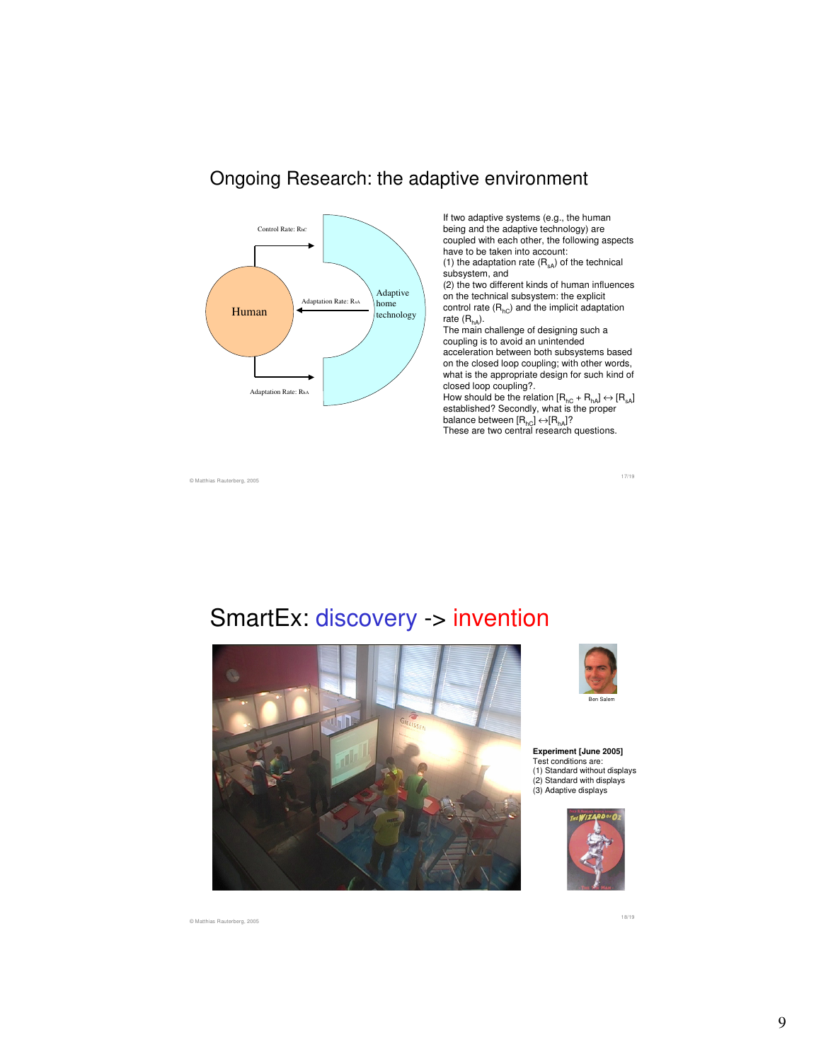### Ongoing Research: the adaptive environment



If two adaptive systems (e.g., the human being and the adaptive technology) are coupled with each other, the following aspects have to be taken into account:

(1) the adaptation rate  $(R_{sA})$  of the technical subsystem, and

(2) the two different kinds of human influences on the technical subsystem: the explicit control rate  $(R_{\text{hc}})$  and the implicit adaptation rate  $(R_{hA})$ .

The main challenge of designing such a coupling is to avoid an unintended acceleration between both subsystems based on the closed loop coupling; with other words, what is the appropriate design for such kind of closed loop coupling?.

How should be the relation  $[R_{hc} + R_{hA}] \leftrightarrow [R_{sA}]$ <br>established? Secondly, what is the proper balance between  $[R_{\text{hc}}] \leftrightarrow [R_{\text{hA}}]$ ?

These are two central research questions.

© Matthias Rauterberg, 2005

17/19

## SmartEx: discovery -> invention





**Experiment [June 2005]** Test conditions are: (1) Standard without displays (2) Standard with displays (3) Adaptive displays



18/19

© Matthias Rauterberg, 2005